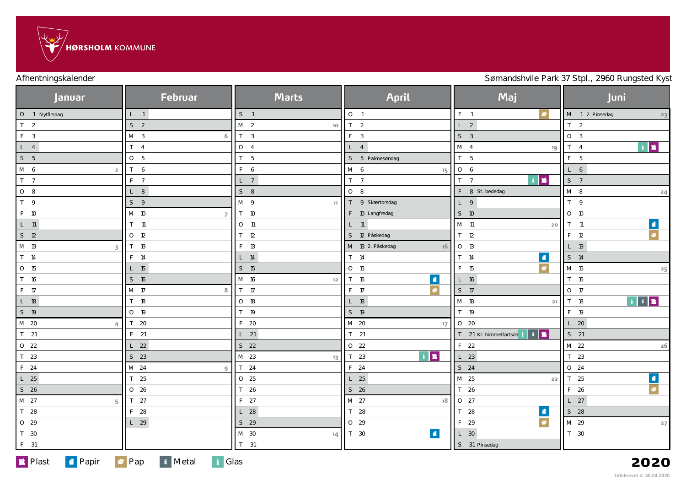

Afhentningskalender **Sømandshvile Park 37 Stpl., 2960 Rungsted Kyst** 

| <b>Januar</b>           | <b>Februar</b>      | <b>Marts</b>           | <b>April</b>           | Maj                                                                                                                                                                                                                                                                                                                                                                                                                                                                               | Juni                                                                                                                                                                                                                                                                                                                                                                                                                                                                       |
|-------------------------|---------------------|------------------------|------------------------|-----------------------------------------------------------------------------------------------------------------------------------------------------------------------------------------------------------------------------------------------------------------------------------------------------------------------------------------------------------------------------------------------------------------------------------------------------------------------------------|----------------------------------------------------------------------------------------------------------------------------------------------------------------------------------------------------------------------------------------------------------------------------------------------------------------------------------------------------------------------------------------------------------------------------------------------------------------------------|
| O 1 Nytårsdag           | $L = 1$             | S <sub>1</sub>         | O <sub>1</sub>         | $\bullet$<br>$F = 1$                                                                                                                                                                                                                                                                                                                                                                                                                                                              | M 1 2. Pinsedag<br>23                                                                                                                                                                                                                                                                                                                                                                                                                                                      |
| T <sub>2</sub>          | S <sub>2</sub>      | M <sub>2</sub><br>$10$ | T <sub>2</sub>         | L <sub>2</sub>                                                                                                                                                                                                                                                                                                                                                                                                                                                                    | T <sub>2</sub>                                                                                                                                                                                                                                                                                                                                                                                                                                                             |
| F <sub>3</sub>          | M <sub>3</sub><br>6 | T <sub>3</sub>         | $F \quad 3$            | S <sub>3</sub>                                                                                                                                                                                                                                                                                                                                                                                                                                                                    | $\begin{array}{ c c } \hline \circ & 3 \\ \hline \end{array}$                                                                                                                                                                                                                                                                                                                                                                                                              |
| $L_4$                   | $T \quad 4$         | $O \quad 4$            | $L \quad 4$            | M <sub>4</sub><br>19                                                                                                                                                                                                                                                                                                                                                                                                                                                              | $\begin{array}{ c c c }\hline \multicolumn{1}{ c }{\textbf{M}} & \multicolumn{1}{ c }{\textbf{M}} \\ \hline \multicolumn{1}{ c }{\textbf{M}} & \multicolumn{1}{ c }{\textbf{M}} \\ \hline \multicolumn{1}{ c }{\textbf{M}} & \multicolumn{1}{ c }{\textbf{M}} \\ \hline \multicolumn{1}{ c }{\textbf{M}} & \multicolumn{1}{ c }{\textbf{M}} \\ \hline \multicolumn{1}{ c }{\textbf{M}} & \multicolumn{1}{ c }{\textbf{M}} \\ \hline \multicolumn{1}{ c $<br>T <sub>4</sub> |
| S <sub>5</sub>          | O <sub>5</sub>      | T <sub>5</sub>         | S 5 Palmesøndag        | T <sub>5</sub>                                                                                                                                                                                                                                                                                                                                                                                                                                                                    | F<br>$5\phantom{0}$                                                                                                                                                                                                                                                                                                                                                                                                                                                        |
| $M$ 6<br>$\overline{2}$ | T<br>6              | $F\quad 6$             | M 6<br>15              | O <sub>6</sub>                                                                                                                                                                                                                                                                                                                                                                                                                                                                    | L 6                                                                                                                                                                                                                                                                                                                                                                                                                                                                        |
| T <sub>7</sub>          | $F \t7$             | $L \quad 7$            | T <sub>7</sub>         | $\begin{array}{c c c c c} \hline \multicolumn{1}{c }{\textbf{A}} & \multicolumn{1}{c }{\textbf{M}} \\ \hline \multicolumn{1}{c }{\textbf{A}} & \multicolumn{1}{c }{\textbf{M}} \\ \hline \multicolumn{1}{c }{\textbf{A}} & \multicolumn{1}{c }{\textbf{M}} \\ \hline \multicolumn{1}{c }{\textbf{A}} & \multicolumn{1}{c }{\textbf{M}} \\ \hline \multicolumn{1}{c }{\textbf{M}} & \multicolumn{1}{c }{\textbf{M}} \\ \hline \multicolumn{1}{c }{\textbf{M}} &$<br>T <sub>7</sub> | S <sub>7</sub>                                                                                                                                                                                                                                                                                                                                                                                                                                                             |
| $O_8$                   | $L$ 8               | $S_8$                  | $O_8$                  | F 8 St. bededag                                                                                                                                                                                                                                                                                                                                                                                                                                                                   | $M$ 8<br>24                                                                                                                                                                                                                                                                                                                                                                                                                                                                |
| T 9                     | S<br>$\overline{9}$ | M 9<br>11              | T 9 Skærtorsdag        | L 9                                                                                                                                                                                                                                                                                                                                                                                                                                                                               | T 9                                                                                                                                                                                                                                                                                                                                                                                                                                                                        |
| F 10                    | M 10<br>7           | T 10                   | F 10 Langfredag        | $S$ 10                                                                                                                                                                                                                                                                                                                                                                                                                                                                            | $O$ 10                                                                                                                                                                                                                                                                                                                                                                                                                                                                     |
| $L$ 11                  | $T$ 11              | $O$ 11                 | $L$ 11                 | M 11<br>20                                                                                                                                                                                                                                                                                                                                                                                                                                                                        | $\vert \bullet \vert$<br>$T$ 11                                                                                                                                                                                                                                                                                                                                                                                                                                            |
| $S$ 12                  | $O$ 12              | $T$ 12                 | S 12 Påskedag          | T <sub>12</sub>                                                                                                                                                                                                                                                                                                                                                                                                                                                                   | $\overline{\bullet}$<br>F 12                                                                                                                                                                                                                                                                                                                                                                                                                                               |
| M 13<br>3               | $T$ 13              | F 13                   | M 13 2. Påskedag<br>16 | $O$ 13                                                                                                                                                                                                                                                                                                                                                                                                                                                                            | $L$ 13                                                                                                                                                                                                                                                                                                                                                                                                                                                                     |
| T 14                    | F 14                | $L$ 14                 | $T$ 14                 | $\vert \blacksquare \vert$<br>$T$ 14                                                                                                                                                                                                                                                                                                                                                                                                                                              | S 14                                                                                                                                                                                                                                                                                                                                                                                                                                                                       |
| O 15                    | $L$ 15              | $S$ 15                 | O 15                   | $\bullet$<br>F 15                                                                                                                                                                                                                                                                                                                                                                                                                                                                 | M 15<br>25                                                                                                                                                                                                                                                                                                                                                                                                                                                                 |
| T 16                    | S 16                | M 16<br>12             | $\blacksquare$<br>T 16 | $L$ 16                                                                                                                                                                                                                                                                                                                                                                                                                                                                            | T 16                                                                                                                                                                                                                                                                                                                                                                                                                                                                       |
| F 17                    | M 17<br>8           | $T$ 17                 | F 17                   | S 17                                                                                                                                                                                                                                                                                                                                                                                                                                                                              | $O$ 17                                                                                                                                                                                                                                                                                                                                                                                                                                                                     |
| L 18                    | T 18                | $O$ 18                 | $L$ 18                 | M 18<br>21                                                                                                                                                                                                                                                                                                                                                                                                                                                                        | T 18                                                                                                                                                                                                                                                                                                                                                                                                                                                                       |
| S 19                    | $O$ 19              | T 19                   | $S$ 19                 | T 19                                                                                                                                                                                                                                                                                                                                                                                                                                                                              | F 19                                                                                                                                                                                                                                                                                                                                                                                                                                                                       |
| M 20<br>$\Delta$        | $T$ 20              | F 20                   | M 20<br>$17^{1}$       | $O$ 20                                                                                                                                                                                                                                                                                                                                                                                                                                                                            | $L$ 20                                                                                                                                                                                                                                                                                                                                                                                                                                                                     |
| $T$ 21                  | $F$ 21              | $L$ 21                 | $T$ 21                 | ▎▖▏▆<br>T 21 Kr. himmelfartsda                                                                                                                                                                                                                                                                                                                                                                                                                                                    | $S$ 21                                                                                                                                                                                                                                                                                                                                                                                                                                                                     |
| O 22                    | $L$ 22              | $S$ 22                 | O <sub>22</sub>        | F 22                                                                                                                                                                                                                                                                                                                                                                                                                                                                              | M 22<br>$\mathsf{^{26}}$                                                                                                                                                                                                                                                                                                                                                                                                                                                   |
| T 23                    | $S$ 23              | M 23<br>13             | l m<br>T <sub>23</sub> | $L$ 23                                                                                                                                                                                                                                                                                                                                                                                                                                                                            | T 23                                                                                                                                                                                                                                                                                                                                                                                                                                                                       |
| F 24                    | M 24<br>9           | T 24                   | F 24                   | $S$ 24                                                                                                                                                                                                                                                                                                                                                                                                                                                                            | O 24                                                                                                                                                                                                                                                                                                                                                                                                                                                                       |
| $L$ 25                  | T 25                | O 25                   | $L$ 25                 | M 25<br>22                                                                                                                                                                                                                                                                                                                                                                                                                                                                        | $\boxed{\blacksquare}$<br>T <sub>25</sub>                                                                                                                                                                                                                                                                                                                                                                                                                                  |
| $S$ 26                  | O <sub>26</sub>     | T 26                   | S 26                   | T 26                                                                                                                                                                                                                                                                                                                                                                                                                                                                              | F 26                                                                                                                                                                                                                                                                                                                                                                                                                                                                       |
| M 27<br>5               | T <sub>27</sub>     | F 27                   | M 27<br>18             | O 27                                                                                                                                                                                                                                                                                                                                                                                                                                                                              | $L$ 27                                                                                                                                                                                                                                                                                                                                                                                                                                                                     |
| T 28                    | F 28                | $L$ 28                 | T 28                   | $\blacksquare$<br>T 28                                                                                                                                                                                                                                                                                                                                                                                                                                                            | S 28                                                                                                                                                                                                                                                                                                                                                                                                                                                                       |
| $0$ 29                  | $L$ 29              | S 29                   | $O$ 29                 | F 29                                                                                                                                                                                                                                                                                                                                                                                                                                                                              | M 29<br>27                                                                                                                                                                                                                                                                                                                                                                                                                                                                 |
| T 30                    |                     | M 30<br>14.            | $\blacksquare$<br>T 30 | $L$ 30                                                                                                                                                                                                                                                                                                                                                                                                                                                                            | T 30                                                                                                                                                                                                                                                                                                                                                                                                                                                                       |
| F 31                    |                     | $T$ 31                 |                        | S 31 Pinsedag                                                                                                                                                                                                                                                                                                                                                                                                                                                                     |                                                                                                                                                                                                                                                                                                                                                                                                                                                                            |